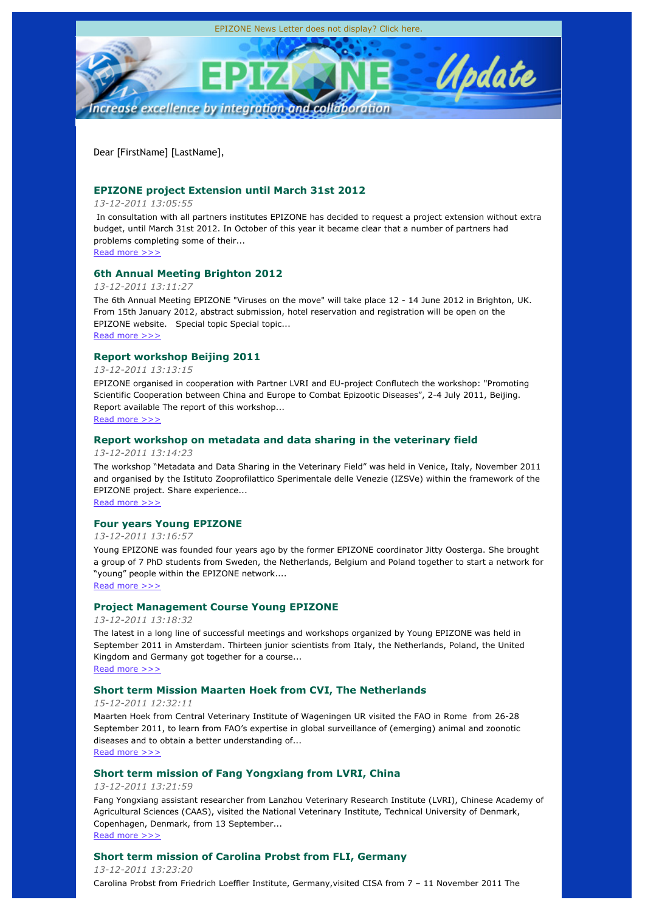

Dear [FirstName] [LastName],

## **EPIZONE project Extension until March 31st 2012**

## *13-12-2011 13:05:55*

 In consultation with all partners institutes EPIZONE has decided to request a project extension without extra budget, until March 31st 2012. In October of this year it became clear that a number of partners had problems completing some of their...

## Read more >>>

## **6th Annual Meeting Brighton 2012**

## *13-12-2011 13:11:27*

The 6th Annual Meeting EPIZONE "Viruses on the move" will take place 12 - 14 June 2012 in Brighton, UK. From 15th January 2012, abstract submission, hotel reservation and registration will be open on the EPIZONE website. Special topic Special topic...

Read more >>>

## **Report workshop Beijing 2011**

### *13-12-2011 13:13:15*

EPIZONE organised in cooperation with Partner LVRI and EU-project Conflutech the workshop: "Promoting Scientific Cooperation between China and Europe to Combat Epizootic Diseases", 2-4 July 2011, Beijing. Report available The report of this workshop... Read more >>>

## **Report workshop on metadata and data sharing in the veterinary field**

*13-12-2011 13:14:23*

The workshop "Metadata and Data Sharing in the Veterinary Field" was held in Venice, Italy, November 2011 and organised by the Istituto Zooprofilattico Sperimentale delle Venezie (IZSVe) within the framework of the EPIZONE project. Share experience...

Read more >>>

## **Four years Young EPIZONE**

## *13-12-2011 13:16:57*

Young EPIZONE was founded four years ago by the former EPIZONE coordinator Jitty Oosterga. She brought a group of 7 PhD students from Sweden, the Netherlands, Belgium and Poland together to start a network for "young" people within the EPIZONE network....

Read more >>>

## **Project Management Course Young EPIZONE**

### *13-12-2011 13:18:32*

The latest in a long line of successful meetings and workshops organized by Young EPIZONE was held in September 2011 in Amsterdam. Thirteen junior scientists from Italy, the Netherlands, Poland, the United Kingdom and Germany got together for a course...

Read more >>>

## **Short term Mission Maarten Hoek from CVI, The Netherlands**

## *15-12-2011 12:32:11*

Maarten Hoek from Central Veterinary Institute of Wageningen UR visited the FAO in Rome from 26-28 September 2011, to learn from FAO's expertise in global surveillance of (emerging) animal and zoonotic diseases and to obtain a better understanding of... Read more >>>

## **Short term mission of Fang Yongxiang from LVRI, China**

## *13-12-2011 13:21:59*

Fang Yongxiang assistant researcher from Lanzhou Veterinary Research Institute (LVRI), Chinese Academy of Agricultural Sciences (CAAS), visited the National Veterinary Institute, Technical University of Denmark, Copenhagen, Denmark, from 13 September... Read more >>>

## **Short term mission of Carolina Probst from FLI, Germany**

*13-12-2011 13:23:20* Carolina Probst from Friedrich Loeffler Institute, Germany,visited CISA from 7 – 11 November 2011 The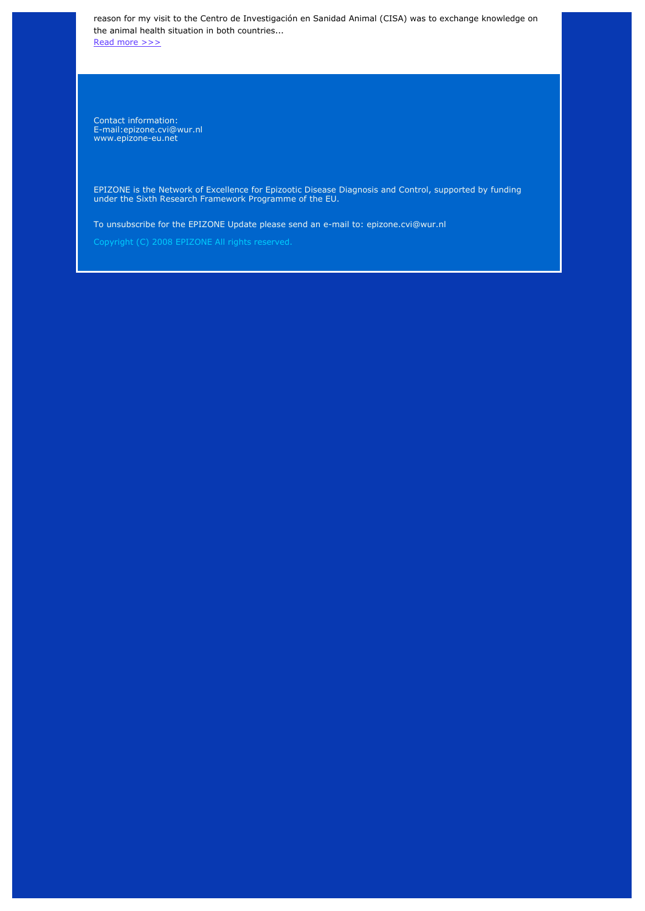reason for my visit to the Centro de Investigación en Sanidad Animal (CISA) was to exchange knowledge on the animal health situation in both countries.

Read more >>>

Contact information: E-mail:epizone.cvi@wur.nl www.epizone-eu.net

EPIZONE is the Network of Excellence for Epizootic Disease Diagnosis and Control, supported by funding under the Sixth Research Framework Programme of the EU.

To unsubscribe for the EPIZONE Update please send an e-mail to: epizone.cvi@wur.nl

Copyright (C) 2008 EPIZONE All rights reserved.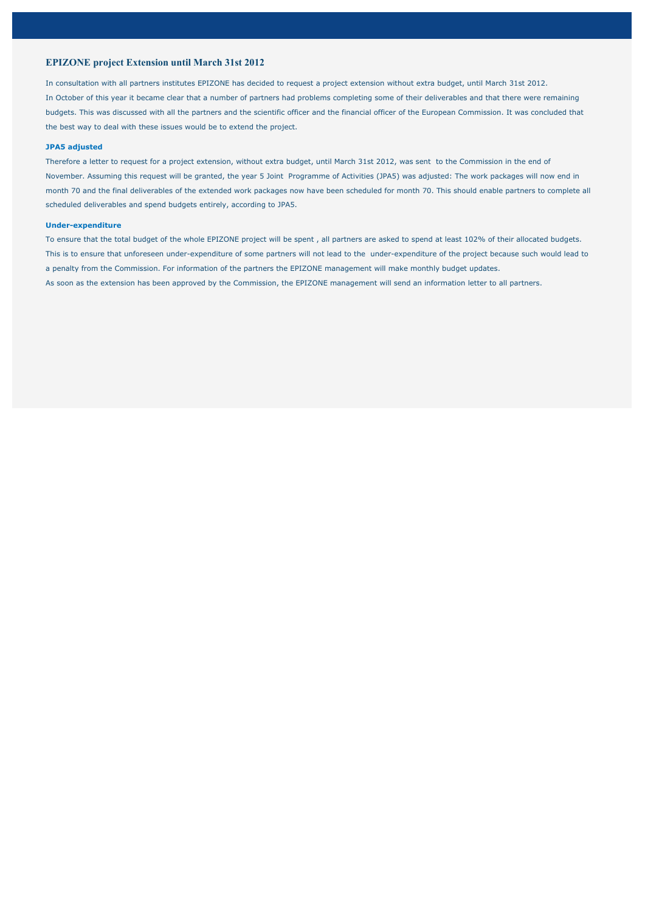### **EPIZONE project Extension until March 31st 2012**

In consultation with all partners institutes EPIZONE has decided to request a project extension without extra budget, until March 31st 2012. In October of this year it became clear that a number of partners had problems completing some of their deliverables and that there were remaining budgets. This was discussed with all the partners and the scientific officer and the financial officer of the European Commission. It was concluded that the best way to deal with these issues would be to extend the project.

### **JPA5 adjusted**

Therefore a letter to request for a project extension, without extra budget, until March 31st 2012, was sent to the Commission in the end of November. Assuming this request will be granted, the year 5 Joint Programme of Activities (JPA5) was adjusted: The work packages will now end in month 70 and the final deliverables of the extended work packages now have been scheduled for month 70. This should enable partners to complete all scheduled deliverables and spend budgets entirely, according to JPA5.

### **Under-expenditure**

To ensure that the total budget of the whole EPIZONE project will be spent , all partners are asked to spend at least 102% of their allocated budgets. This is to ensure that unforeseen under-expenditure of some partners will not lead to the under-expenditure of the project because such would lead to a penalty from the Commission. For information of the partners the EPIZONE management will make monthly budget updates. As soon as the extension has been approved by the Commission, the EPIZONE management will send an information letter to all partners.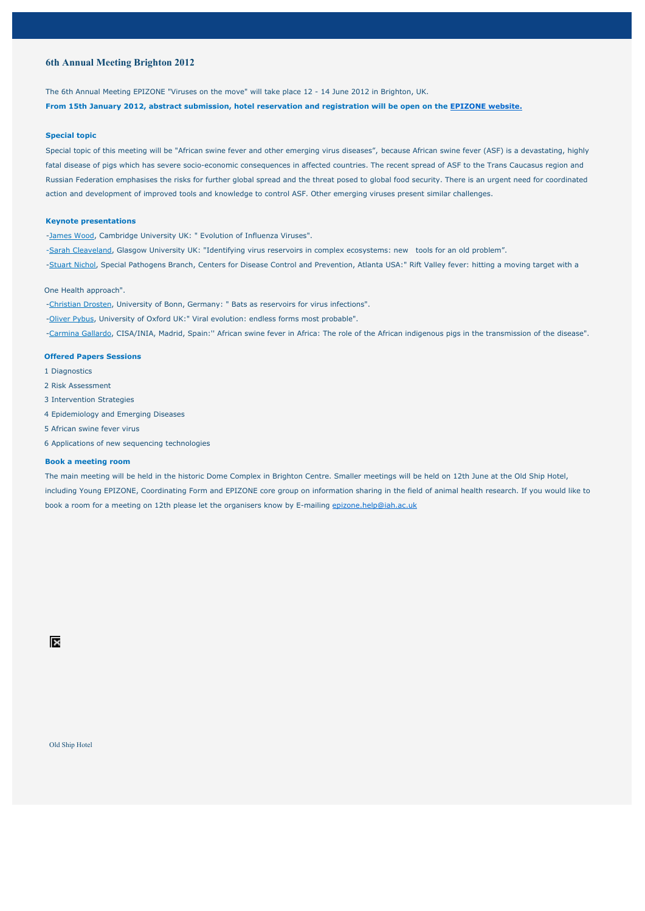### **6th Annual Meeting Brighton 2012**

The 6th Annual Meeting EPIZONE "Viruses on the move" will take place 12 - 14 June 2012 in Brighton, UK.

**From 15th January 2012, abstract submission, hotel reservation and registration will be open on the EPIZONE website.**

#### **Special topic**

Special topic of this meeting will be "African swine fever and other emerging virus diseases", because African swine fever (ASF) is a devastating, highly fatal disease of pigs which has severe socio-economic consequences in affected countries. The recent spread of ASF to the Trans Caucasus region and Russian Federation emphasises the risks for further global spread and the threat posed to global food security. There is an urgent need for coordinated action and development of improved tools and knowledge to control ASF. Other emerging viruses present similar challenges.

### **Keynote presentations**

-James Wood, Cambridge University UK: " Evolution of Influenza Viruses".

-Sarah Cleaveland, Glasgow University UK: "Identifying virus reservoirs in complex ecosystems: new tools for an old problem".

-Stuart Nichol, Special Pathogens Branch, Centers for Disease Control and Prevention, Atlanta USA:" Rift Valley fever: hitting a moving target with a

#### One Health approach".

-Christian Drosten, University of Bonn, Germany: " Bats as reservoirs for virus infections".

-Oliver Pybus, University of Oxford UK:" Viral evolution: endless forms most probable".

-Carmina Gallardo, CISA/INIA, Madrid, Spain:'' African swine fever in Africa: The role of the African indigenous pigs in the transmission of the disease".

### **Offered Papers Sessions**

- 1 Diagnostics
- 2 Risk Assessment
- 3 Intervention Strategies
- 4 Epidemiology and Emerging Diseases
- 5 African swine fever virus
- 6 Applications of new sequencing technologies

### **Book a meeting room**

The main meeting will be held in the historic Dome Complex in Brighton Centre. Smaller meetings will be held on 12th June at the Old Ship Hotel, including Young EPIZONE, Coordinating Form and EPIZONE core group on information sharing in the field of animal health research. If you would like to book a room for a meeting on 12th please let the organisers know by E-mailing epizone.help@iah.ac.uk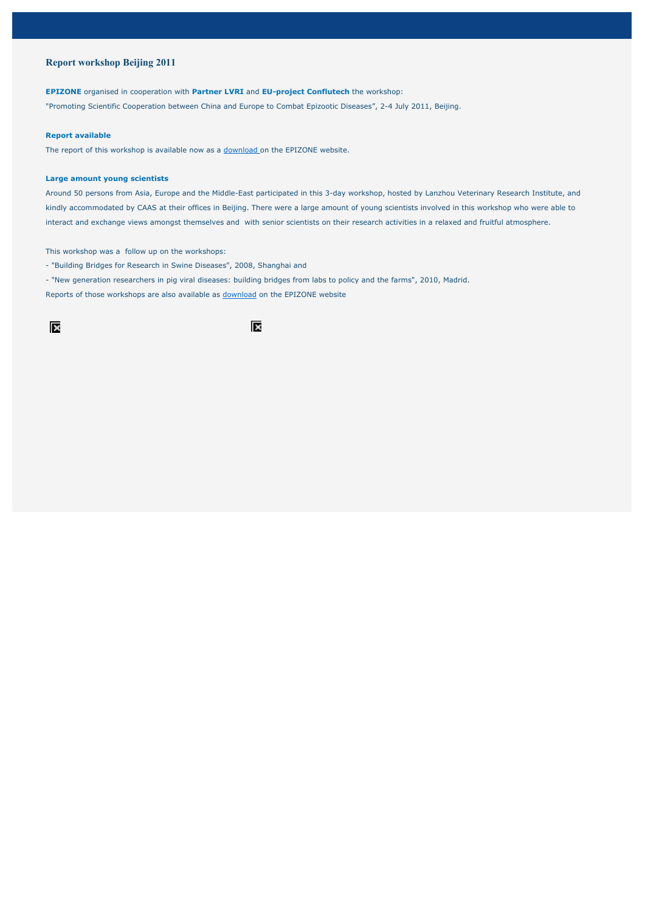### **Report workshop Beijing 2011**

#### **EPIZONE** organised in cooperation with **Partner LVRI** and **EU-project Conflutech** the workshop:

"Promoting Scientific Cooperation between China and Europe to Combat Epizootic Diseases", 2-4 July 2011, Beijing.

### **Report available**

The report of this workshop is available now as a download on the EPIZONE website.

### **Large amount young scientists**

Around 50 persons from Asia, Europe and the Middle-East participated in this 3-day workshop, hosted by Lanzhou Veterinary Research Institute, and kindly accommodated by CAAS at their offices in Beijing. There were a large amount of young scientists involved in this workshop who were able to interact and exchange views amongst themselves and with senior scientists on their research activities in a relaxed and fruitful atmosphere.

This workshop was a follow up on the workshops:

- "Building Bridges for Research in Swine Diseases", 2008, Shanghai and
- "New generation researchers in pig viral diseases: building bridges from labs to policy and the farms", 2010, Madrid.

Reports of those workshops are also available as download on the EPIZONE website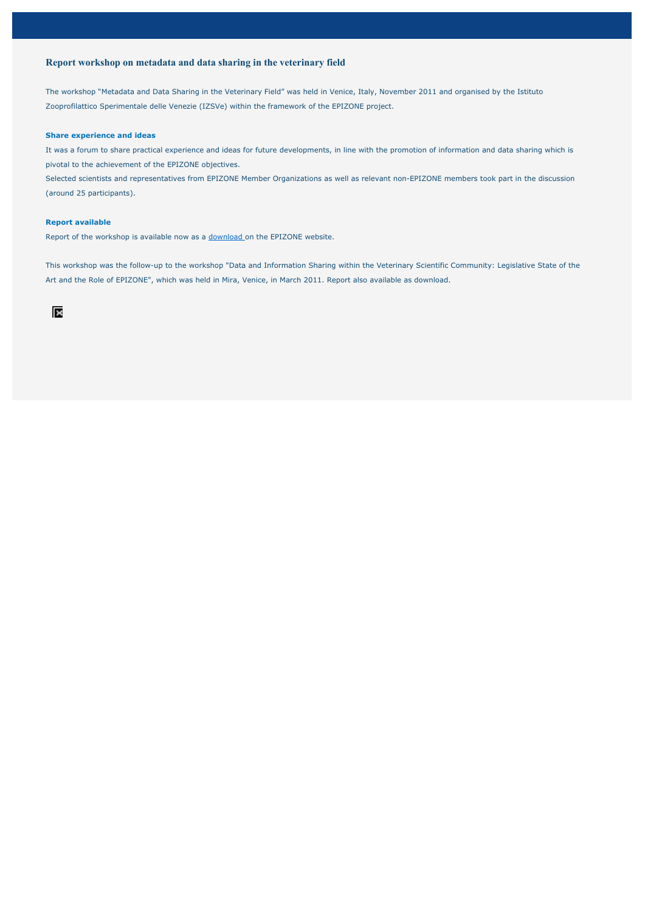### **Report workshop on metadata and data sharing in the veterinary field**

The workshop "Metadata and Data Sharing in the Veterinary Field" was held in Venice, Italy, November 2011 and organised by the Istituto Zooprofilattico Sperimentale delle Venezie (IZSVe) within the framework of the EPIZONE project.

### **Share experience and ideas**

It was a forum to share practical experience and ideas for future developments, in line with the promotion of information and data sharing which is pivotal to the achievement of the EPIZONE objectives.

Selected scientists and representatives from EPIZONE Member Organizations as well as relevant non-EPIZONE members took part in the discussion (around 25 participants).

#### **Report available**

Report of the workshop is available now as a download on the EPIZONE website.

This workshop was the follow-up to the workshop "Data and Information Sharing within the Veterinary Scientific Community: Legislative State of the Art and the Role of EPIZONE", which was held in Mira, Venice, in March 2011. Report also available as download.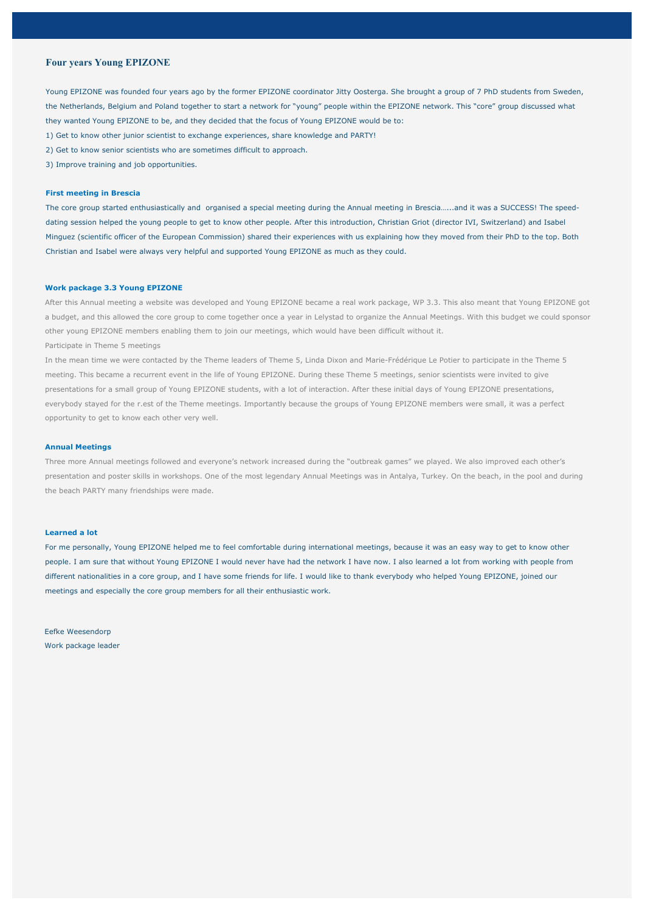### **Four years Young EPIZONE**

Young EPIZONE was founded four years ago by the former EPIZONE coordinator Jitty Oosterga. She brought a group of 7 PhD students from Sweden, the Netherlands, Belgium and Poland together to start a network for "young" people within the EPIZONE network. This "core" group discussed what they wanted Young EPIZONE to be, and they decided that the focus of Young EPIZONE would be to:

- 1) Get to know other junior scientist to exchange experiences, share knowledge and PARTY!
- 2) Get to know senior scientists who are sometimes difficult to approach.
- 3) Improve training and job opportunities.

### **First meeting in Brescia**

The core group started enthusiastically and organised a special meeting during the Annual meeting in Brescia…...and it was a SUCCESS! The speeddating session helped the young people to get to know other people. After this introduction, Christian Griot (director IVI, Switzerland) and Isabel Minguez (scientific officer of the European Commission) shared their experiences with us explaining how they moved from their PhD to the top. Both Christian and Isabel were always very helpful and supported Young EPIZONE as much as they could.

### **Work package 3.3 Young EPIZONE**

After this Annual meeting a website was developed and Young EPIZONE became a real work package, WP 3.3. This also meant that Young EPIZONE got a budget, and this allowed the core group to come together once a year in Lelystad to organize the Annual Meetings. With this budget we could sponsor other young EPIZONE members enabling them to join our meetings, which would have been difficult without it.

Participate in Theme 5 meetings

In the mean time we were contacted by the Theme leaders of Theme 5, Linda Dixon and Marie-Frédérique Le Potier to participate in the Theme 5 meeting. This became a recurrent event in the life of Young EPIZONE. During these Theme 5 meetings, senior scientists were invited to give presentations for a small group of Young EPIZONE students, with a lot of interaction. After these initial days of Young EPIZONE presentations, everybody stayed for the r.est of the Theme meetings. Importantly because the groups of Young EPIZONE members were small, it was a perfect opportunity to get to know each other very well.

### **Annual Meetings**

Three more Annual meetings followed and everyone's network increased during the "outbreak games" we played. We also improved each other's presentation and poster skills in workshops. One of the most legendary Annual Meetings was in Antalya, Turkey. On the beach, in the pool and during the beach PARTY many friendships were made.

### **Learned a lot**

For me personally, Young EPIZONE helped me to feel comfortable during international meetings, because it was an easy way to get to know other people. I am sure that without Young EPIZONE I would never have had the network I have now. I also learned a lot from working with people from different nationalities in a core group, and I have some friends for life. I would like to thank everybody who helped Young EPIZONE, joined our meetings and especially the core group members for all their enthusiastic work.

## Eefke Weesendorp Work package leader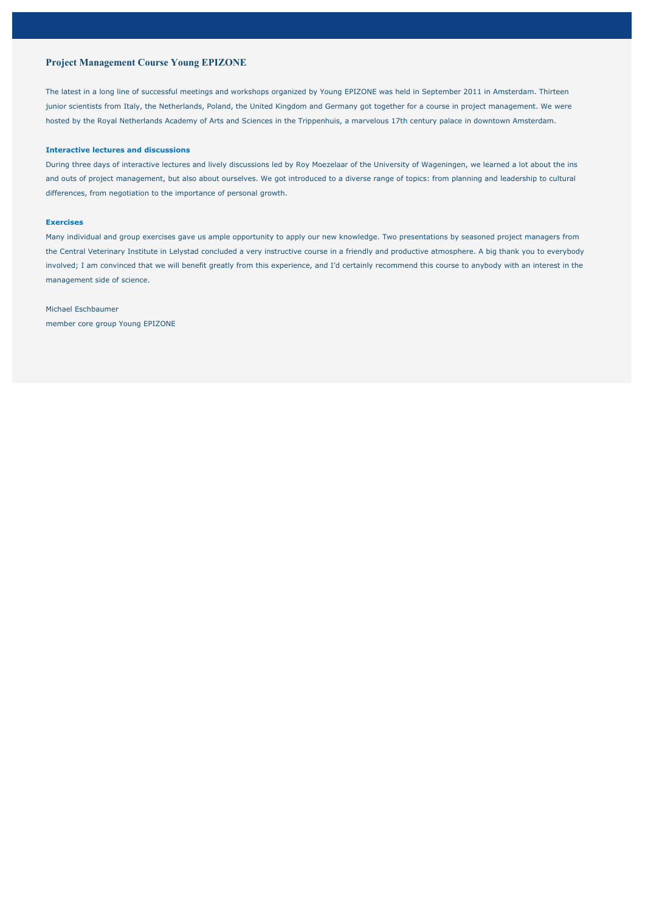### **Project Management Course Young EPIZONE**

The latest in a long line of successful meetings and workshops organized by Young EPIZONE was held in September 2011 in Amsterdam. Thirteen junior scientists from Italy, the Netherlands, Poland, the United Kingdom and Germany got together for a course in project management. We were hosted by the Royal Netherlands Academy of Arts and Sciences in the Trippenhuis, a marvelous 17th century palace in downtown Amsterdam.

### **Interactive lectures and discussions**

During three days of interactive lectures and lively discussions led by Roy Moezelaar of the University of Wageningen, we learned a lot about the ins and outs of project management, but also about ourselves. We got introduced to a diverse range of topics: from planning and leadership to cultural differences, from negotiation to the importance of personal growth.

### **Exercises**

Many individual and group exercises gave us ample opportunity to apply our new knowledge. Two presentations by seasoned project managers from the Central Veterinary Institute in Lelystad concluded a very instructive course in a friendly and productive atmosphere. A big thank you to everybody involved; I am convinced that we will benefit greatly from this experience, and I'd certainly recommend this course to anybody with an interest in the management side of science.

# Michael Eschbaumer

member core group Young EPIZONE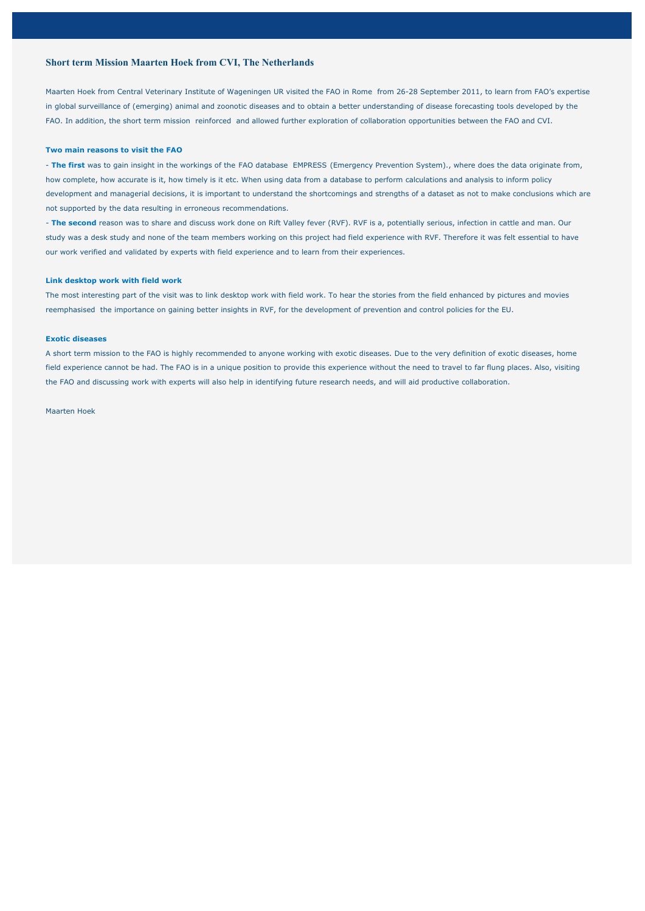### **Short term Mission Maarten Hoek from CVI, The Netherlands**

Maarten Hoek from Central Veterinary Institute of Wageningen UR visited the FAO in Rome from 26-28 September 2011, to learn from FAO's expertise in global surveillance of (emerging) animal and zoonotic diseases and to obtain a better understanding of disease forecasting tools developed by the FAO. In addition, the short term mission reinforced and allowed further exploration of collaboration opportunities between the FAO and CVI.

#### **Two main reasons to visit the FAO**

- **The first** was to gain insight in the workings of the FAO database EMPRESS (Emergency Prevention System)., where does the data originate from, how complete, how accurate is it, how timely is it etc. When using data from a database to perform calculations and analysis to inform policy development and managerial decisions, it is important to understand the shortcomings and strengths of a dataset as not to make conclusions which are not supported by the data resulting in erroneous recommendations.

- **The second** reason was to share and discuss work done on Rift Valley fever (RVF). RVF is a, potentially serious, infection in cattle and man. Our study was a desk study and none of the team members working on this project had field experience with RVF. Therefore it was felt essential to have our work verified and validated by experts with field experience and to learn from their experiences.

#### **Link desktop work with field work**

The most interesting part of the visit was to link desktop work with field work. To hear the stories from the field enhanced by pictures and movies reemphasised the importance on gaining better insights in RVF, for the development of prevention and control policies for the EU.

### **Exotic diseases**

A short term mission to the FAO is highly recommended to anyone working with exotic diseases. Due to the very definition of exotic diseases, home field experience cannot be had. The FAO is in a unique position to provide this experience without the need to travel to far flung places. Also, visiting the FAO and discussing work with experts will also help in identifying future research needs, and will aid productive collaboration.

#### Maarten Hoek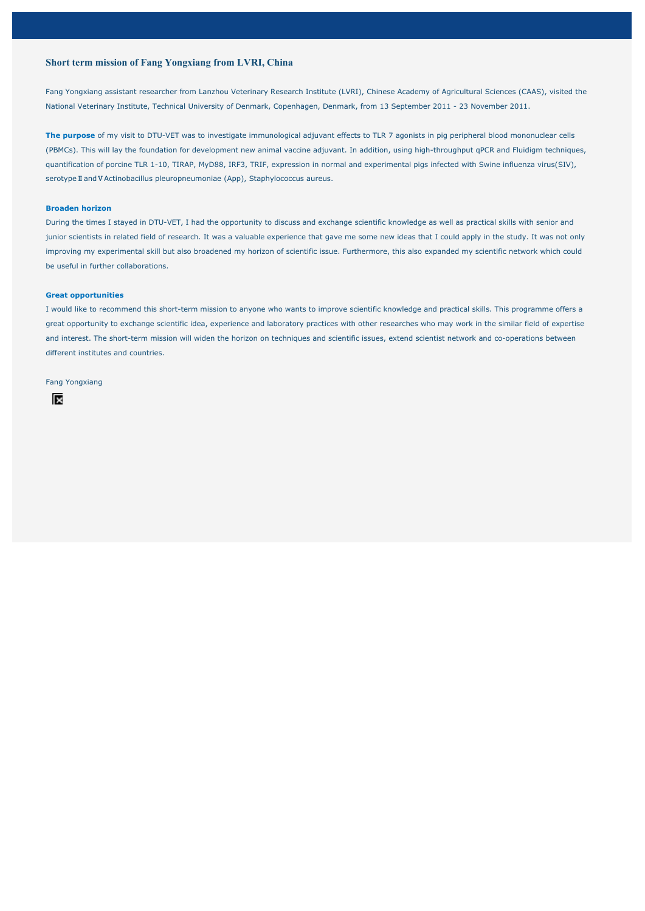### **Short term mission of Fang Yongxiang from LVRI, China**

Fang Yongxiang assistant researcher from Lanzhou Veterinary Research Institute (LVRI), Chinese Academy of Agricultural Sciences (CAAS), visited the National Veterinary Institute, Technical University of Denmark, Copenhagen, Denmark, from 13 September 2011 - 23 November 2011.

**The purpose** of my visit to DTU-VET was to investigate immunological adjuvant effects to TLR 7 agonists in pig peripheral blood mononuclear cells (PBMCs). This will lay the foundation for development new animal vaccine adjuvant. In addition, using high-throughput qPCR and Fluidigm techniques, quantification of porcine TLR 1-10, TIRAP, MyD88, IRF3, TRIF, expression in normal and experimental pigs infected with Swine influenza virus(SIV), serotype II and V Actinobacillus pleuropneumoniae (App), Staphylococcus aureus.

### **Broaden horizon**

During the times I stayed in DTU-VET, I had the opportunity to discuss and exchange scientific knowledge as well as practical skills with senior and junior scientists in related field of research. It was a valuable experience that gave me some new ideas that I could apply in the study. It was not only improving my experimental skill but also broadened my horizon of scientific issue. Furthermore, this also expanded my scientific network which could be useful in further collaborations.

### **Great opportunities**

I would like to recommend this short-term mission to anyone who wants to improve scientific knowledge and practical skills. This programme offers a great opportunity to exchange scientific idea, experience and laboratory practices with other researches who may work in the similar field of expertise and interest. The short-term mission will widen the horizon on techniques and scientific issues, extend scientist network and co-operations between different institutes and countries.

### Fang Yongxiang